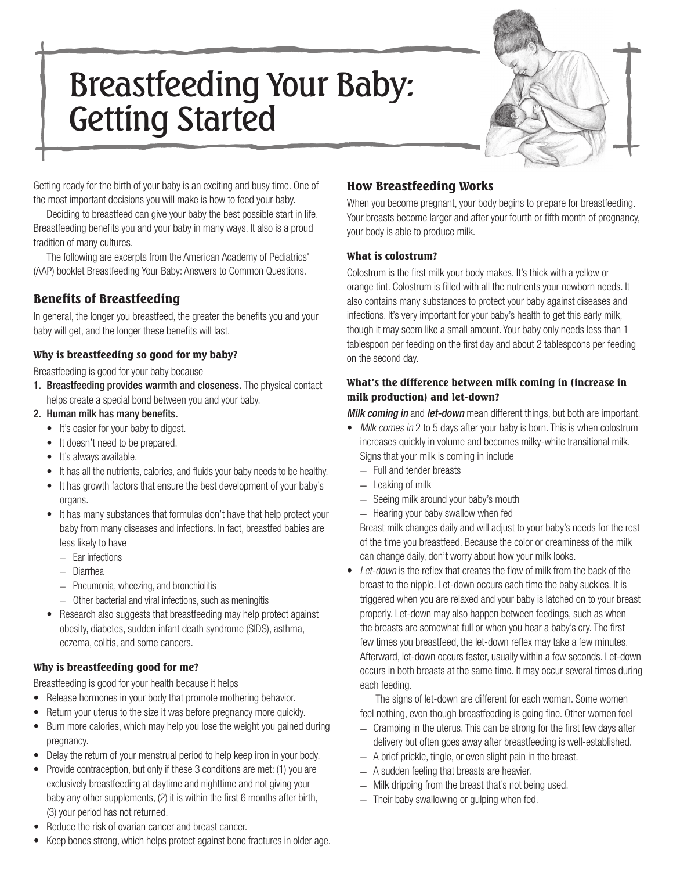# Breastfeeding Your Baby: Getting Started



Getting ready for the birth of your baby is an exciting and busy time. One of the most important decisions you will make is how to feed your baby.

Deciding to breastfeed can give your baby the best possible start in life. Breastfeeding benefits you and your baby in many ways. It also is a proud tradition of many cultures.

The following are excerpts from the American Academy of Pediatrics' (AAP) booklet Breastfeeding Your Baby: Answers to Common Questions.

# Benefits of Breastfeeding

In general, the longer you breastfeed, the greater the benefits you and your baby will get, and the longer these benefits will last.

#### Why is breastfeeding so good for my baby?

Breastfeeding is good for your baby because

- 1. Breastfeeding provides warmth and closeness. The physical contact helps create a special bond between you and your baby.
- 2. Human milk has many benefits.
	- • It's easier for your baby to digest.
	- It doesn't need to be prepared.
	- It's always available.
	- It has all the nutrients, calories, and fluids your baby needs to be healthy.
	- It has growth factors that ensure the best development of your baby's organs.
	- It has many substances that formulas don't have that help protect your baby from many diseases and infections. In fact, breastfed babies are less likely to have
		- Ear infections
		- Diarrhea
		- Pneumonia, wheezing, and bronchiolitis
		- Other bacterial and viral infections, such as meningitis
	- Research also suggests that breastfeeding may help protect against obesity, diabetes, sudden infant death syndrome (SIDS), asthma, eczema, colitis, and some cancers.

#### Why is breastfeeding good for me?

Breastfeeding is good for your health because it helps

- Release hormones in your body that promote mothering behavior.
- Return your uterus to the size it was before pregnancy more quickly.
- Burn more calories, which may help you lose the weight you gained during pregnancy.
- Delay the return of your menstrual period to help keep iron in your body.
- Provide contraception, but only if these 3 conditions are met: (1) you are exclusively breastfeeding at daytime and nighttime and not giving your baby any other supplements, (2) it is within the first 6 months after birth, (3) your period has not returned.
- Reduce the risk of ovarian cancer and breast cancer.
- Keep bones strong, which helps protect against bone fractures in older age.

# How Breastfeeding Works

When you become pregnant, your body begins to prepare for breastfeeding. Your breasts become larger and after your fourth or fifth month of pregnancy, your body is able to produce milk.

#### What is colostrum?

Colostrum is the first milk your body makes. It's thick with a yellow or orange tint. Colostrum is filled with all the nutrients your newborn needs. It also contains many substances to protect your baby against diseases and infections. It's very important for your baby's health to get this early milk, though it may seem like a small amount. Your baby only needs less than 1 tablespoon per feeding on the first day and about 2 tablespoons per feeding on the second day.

#### What's the difference between milk coming in (increase in milk production) and let-down?

Milk coming in and let-down mean different things, but both are important.

- Milk comes in 2 to 5 days after your baby is born. This is when colostrum increases quickly in volume and becomes milky-white transitional milk. Signs that your milk is coming in include
	- Full and tender breasts
	- Leaking of milk
	- Seeing milk around your baby's mouth
	- Hearing your baby swallow when fed

Breast milk changes daily and will adjust to your baby's needs for the rest of the time you breastfeed. Because the color or creaminess of the milk can change daily, don't worry about how your milk looks.

Let-down is the reflex that creates the flow of milk from the back of the breast to the nipple. Let-down occurs each time the baby suckles. It is triggered when you are relaxed and your baby is latched on to your breast properly. Let-down may also happen between feedings, such as when the breasts are somewhat full or when you hear a baby's cry. The first few times you breastfeed, the let-down reflex may take a few minutes. Afterward, let-down occurs faster, usually within a few seconds. Let-down occurs in both breasts at the same time. It may occur several times during each feeding.

 The signs of let-down are different for each woman. Some women feel nothing, even though breastfeeding is going fine. Other women feel

- Cramping in the uterus. This can be strong for the first few days after delivery but often goes away after breastfeeding is well-established.
- A brief prickle, tingle, or even slight pain in the breast.
- A sudden feeling that breasts are heavier.
- Milk dripping from the breast that's not being used.
- Their baby swallowing or gulping when fed.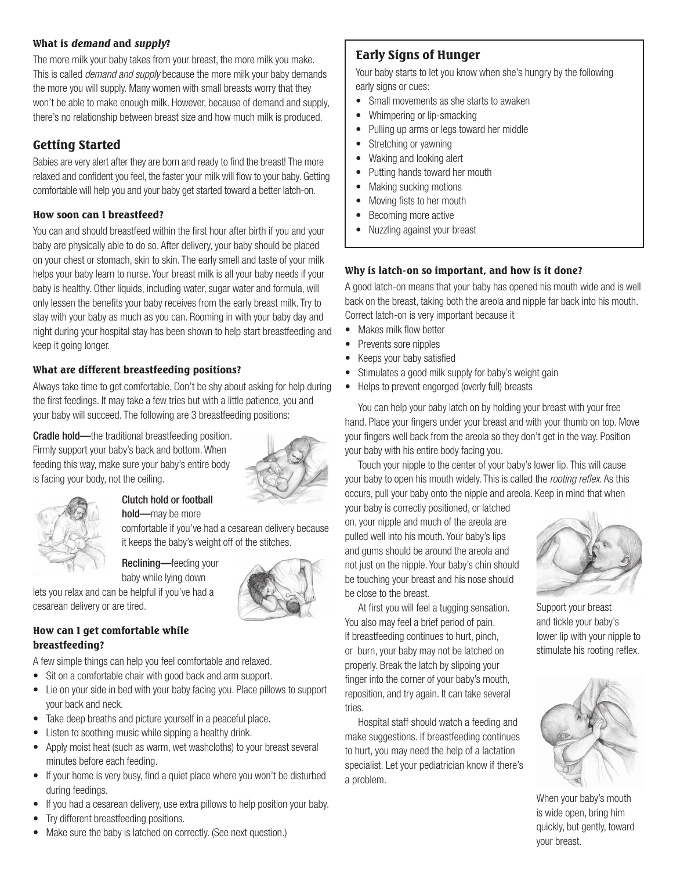#### What is demand and supply?

The more milk your baby takes from your breast, the more milk you make. This is called *demand and supply* because the more milk your baby demands the more you will supply. Many women with small breasts worry that they won't be able to make enough milk. However, because of demand and supply, there's no relationship between breast size and how much milk is produced.

## Getting Started

Babies are very alert after they are born and ready to find the breast! The more relaxed and confident you feel, the faster your milk will flow to your baby. Getting comfortable will help you and your baby get started toward a better latch-on.

#### How soon can I breastfeed?

You can and should breastfeed within the first hour after birth if you and your baby are physically able to do so. After delivery, your baby should be placed on your chest or stomach, skin to skin. The early smell and taste of your milk helps your baby learn to nurse. Your breast milk is all your baby needs if your baby is healthy. Other liquids, including water, sugar water and formula, will only lessen the benefits your baby receives from the early breast milk. Try to stay with your baby as much as you can. Rooming in with your baby day and night during your hospital stay has been shown to help start breastfeeding and keep it going longer.

#### What are different breastfeeding positions?

Always take time to get comfortable. Don't be shy about asking for help during the first feedings. It may take a few tries but with a little patience, you and your baby will succeed. The following are 3 breastfeeding positions:

Cradle hold—the traditional breastfeeding position. Firmly support your baby's back and bottom. When feeding this way, make sure your baby's entire body is facing your body, not the ceiling.





Clutch hold or football hold—may be more

comfortable if you've had a cesarean delivery because it keeps the baby's weight off of the stitches.

Reclining—feeding your baby while lying down

lets you relax and can be helpful if you've had a cesarean delivery or are tired.

#### How can I get comfortable while breastfeeding?

A few simple things can help you feel comfortable and relaxed.

- Sit on a comfortable chair with good back and arm support.
- Lie on your side in bed with your baby facing you. Place pillows to support your back and neck.
- Take deep breaths and picture yourself in a peaceful place.
- Listen to soothing music while sipping a healthy drink.
- Apply moist heat (such as warm, wet washcloths) to your breast several minutes before each feeding.
- If your home is very busy, find a quiet place where you won't be disturbed during feedings.
- If you had a cesarean delivery, use extra pillows to help position your baby.
- Try different breastfeeding positions.
- Make sure the baby is latched on correctly. (See next question.)

# Early Signs of Hunger

Your baby starts to let you know when she's hungry by the following early signs or cues:

- Small movements as she starts to awaken
- Whimpering or lip-smacking
- Pulling up arms or legs toward her middle
- Stretching or yawning
- Waking and looking alert
- Putting hands toward her mouth
- Making sucking motions
- Moving fists to her mouth
- Becoming more active
- Nuzzling against your breast

#### Why is latch-on so important, and how is it done?

A good latch-on means that your baby has opened his mouth wide and is well back on the breast, taking both the areola and nipple far back into his mouth. Correct latch-on is very important because it

- Makes milk flow better
- Prevents sore nipples
- Keeps your baby satisfied
- Stimulates a good milk supply for baby's weight gain
- • Helps to prevent engorged (overly full) breasts

You can help your baby latch on by holding your breast with your free hand. Place your fingers under your breast and with your thumb on top. Move your fingers well back from the areola so they don't get in the way. Position your baby with his entire body facing you.

Touch your nipple to the center of your baby's lower lip. This will cause your baby to open his mouth widely. This is called the *rooting reflex*. As this occurs, pull your baby onto the nipple and areola. Keep in mind that when

your baby is correctly positioned, or latched on, your nipple and much of the areola are pulled well into his mouth. Your baby's lips and gums should be around the areola and not just on the nipple. Your baby's chin should be touching your breast and his nose should be close to the breast.

At first you will feel a tugging sensation. You also may feel a brief period of pain. If breastfeeding continues to hurt, pinch, or burn, your baby may not be latched on properly. Break the latch by slipping your finger into the corner of your baby's mouth, reposition, and try again. It can take several

Hospital staff should watch a feeding and make suggestions. If breastfeeding continues to hurt, you may need the help of a lactation specialist. Let your pediatrician know if there's



Support your breast and tickle your baby's lower lip with your nipple to stimulate his rooting reflex.



When your baby's mouth is wide open, bring him quickly, but gently, toward your breast.



tries.

a problem.